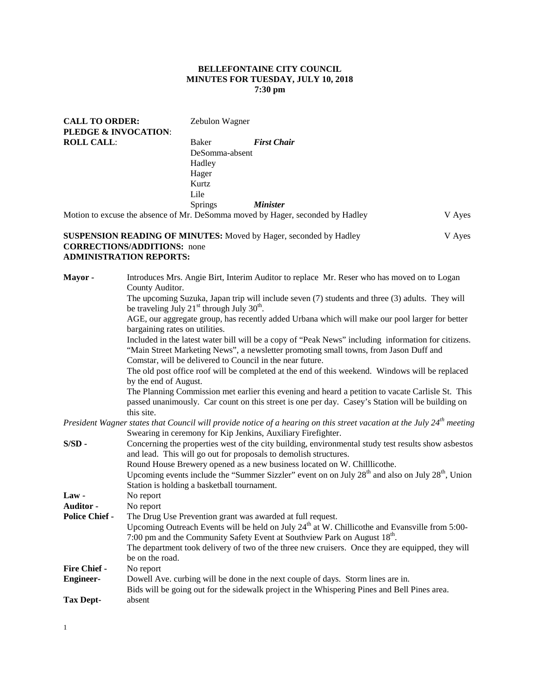### **BELLEFONTAINE CITY COUNCIL MINUTES FOR TUESDAY, JULY 10, 2018 7:30 pm**

| <b>CALL TO ORDER:</b><br><b>PLEDGE &amp; INVOCATION:</b>                       | Zebulon Wagner |                        |        |
|--------------------------------------------------------------------------------|----------------|------------------------|--------|
| <b>ROLL CALL:</b>                                                              | Baker          | <b>First Chair</b>     |        |
|                                                                                | DeSomma-absent |                        |        |
|                                                                                | Hadley         |                        |        |
|                                                                                | Hager          |                        |        |
|                                                                                | Kurtz          |                        |        |
|                                                                                | Lile           |                        |        |
|                                                                                | <b>Springs</b> | <i><b>Minister</b></i> |        |
| Motion to excuse the absence of Mr. DeSomma moved by Hager, seconded by Hadley |                |                        | V Ayes |

#### **SUSPENSION READING OF MINUTES:** Moved by Hager, seconded by Hadley V Ayes **CORRECTIONS/ADDITIONS:** none **ADMINISTRATION REPORTS:**

| Mayor -               | Introduces Mrs. Angie Birt, Interim Auditor to replace Mr. Reser who has moved on to Logan                                         |
|-----------------------|------------------------------------------------------------------------------------------------------------------------------------|
|                       | County Auditor.                                                                                                                    |
|                       | The upcoming Suzuka, Japan trip will include seven (7) students and three (3) adults. They will                                    |
|                       | be traveling July 21 <sup>st</sup> through July 30 <sup>th</sup> .                                                                 |
|                       | AGE, our aggregate group, has recently added Urbana which will make our pool larger for better                                     |
|                       | bargaining rates on utilities.                                                                                                     |
|                       | Included in the latest water bill will be a copy of "Peak News" including information for citizens.                                |
|                       | "Main Street Marketing News", a newsletter promoting small towns, from Jason Duff and                                              |
|                       | Comstar, will be delivered to Council in the near future.                                                                          |
|                       | The old post office roof will be completed at the end of this weekend. Windows will be replaced                                    |
|                       | by the end of August.                                                                                                              |
|                       | The Planning Commission met earlier this evening and heard a petition to vacate Carlisle St. This                                  |
|                       | passed unanimously. Car count on this street is one per day. Casey's Station will be building on                                   |
|                       | this site.                                                                                                                         |
|                       | President Wagner states that Council will provide notice of a hearing on this street vacation at the July 24 <sup>th</sup> meeting |
|                       | Swearing in ceremony for Kip Jenkins, Auxiliary Firefighter.                                                                       |
| $S/SD$ -              | Concerning the properties west of the city building, environmental study test results show asbestos                                |
|                       | and lead. This will go out for proposals to demolish structures.                                                                   |
|                       | Round House Brewery opened as a new business located on W. Chilllicothe.                                                           |
|                       | Upcoming events include the "Summer Sizzler" event on on July 28 <sup>th</sup> and also on July 28 <sup>th</sup> , Union           |
|                       | Station is holding a basketball tournament.                                                                                        |
| Law-                  | No report                                                                                                                          |
| Auditor -             | No report                                                                                                                          |
| <b>Police Chief -</b> | The Drug Use Prevention grant was awarded at full request.                                                                         |
|                       | Upcoming Outreach Events will be held on July 24 <sup>th</sup> at W. Chillicothe and Evansville from 5:00-                         |
|                       | 7:00 pm and the Community Safety Event at Southview Park on August 18th.                                                           |
|                       | The department took delivery of two of the three new cruisers. Once they are equipped, they will                                   |
|                       | be on the road.                                                                                                                    |
| Fire Chief -          | No report                                                                                                                          |
| <b>Engineer-</b>      | Dowell Ave. curbing will be done in the next couple of days. Storm lines are in.                                                   |
|                       | Bids will be going out for the sidewalk project in the Whispering Pines and Bell Pines area.                                       |
| <b>Tax Dept-</b>      | absent                                                                                                                             |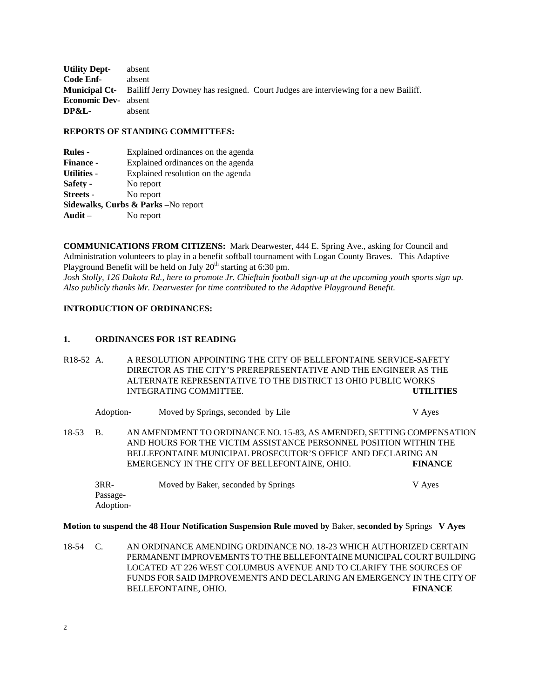**Utility Dept-** absent **Code Enf-** absent **Municipal Ct-** Bailiff Jerry Downey has resigned. Court Judges are interviewing for a new Bailiff. **Economic Dev-** absent **DP&L-** absent

# **REPORTS OF STANDING COMMITTEES:**

| <b>Rules -</b>                     | Explained ordinances on the agenda |  |  |  |
|------------------------------------|------------------------------------|--|--|--|
| <b>Finance -</b>                   | Explained ordinances on the agenda |  |  |  |
| <b>Utilities -</b>                 | Explained resolution on the agenda |  |  |  |
| Safety -                           | No report                          |  |  |  |
| <b>Streets</b> -                   | No report                          |  |  |  |
| Sidewalks, Curbs & Parks-No report |                                    |  |  |  |
| Audit $-$                          | No report                          |  |  |  |
|                                    |                                    |  |  |  |

**COMMUNICATIONS FROM CITIZENS:** Mark Dearwester, 444 E. Spring Ave., asking for Council and Administration volunteers to play in a benefit softball tournament with Logan County Braves. This Adaptive Playground Benefit will be held on July  $20<sup>th</sup>$  starting at 6:30 pm.

*Josh Stolly, 126 Dakota Rd., here to promote Jr. Chieftain football sign-up at the upcoming youth sports sign up. Also publicly thanks Mr. Dearwester for time contributed to the Adaptive Playground Benefit.*

#### **INTRODUCTION OF ORDINANCES:**

#### **1. ORDINANCES FOR 1ST READING**

R18-52 A. A RESOLUTION APPOINTING THE CITY OF BELLEFONTAINE SERVICE-SAFETY DIRECTOR AS THE CITY'S PREREPRESENTATIVE AND THE ENGINEER AS THE ALTERNATE REPRESENTATIVE TO THE DISTRICT 13 OHIO PUBLIC WORKS INTEGRATING COMMITTEE. **UTILITIES**

|       | Adoption-                               | Moved by Springs, seconded by Lile                                                                                                                                                                                                                          |  |  | V Ayes         |  |
|-------|-----------------------------------------|-------------------------------------------------------------------------------------------------------------------------------------------------------------------------------------------------------------------------------------------------------------|--|--|----------------|--|
| 18-53 | - B.                                    | AN AMENDMENT TO ORDINANCE NO. 15-83, AS AMENDED, SETTING COMPENSATION<br>AND HOURS FOR THE VICTIM ASSISTANCE PERSONNEL POSITION WITHIN THE<br>BELLEFONTAINE MUNICIPAL PROSECUTOR'S OFFICE AND DECLARING AN<br>EMERGENCY IN THE CITY OF BELLEFONTAINE, OHIO. |  |  | <b>FINANCE</b> |  |
|       | $3RR-$<br>$\mathbf{D}$ and $\mathbf{D}$ | Moved by Baker, seconded by Springs                                                                                                                                                                                                                         |  |  | V Ayes         |  |

Passage-Adoption-

**Motion to suspend the 48 Hour Notification Suspension Rule moved by** Baker, **seconded by** Springs **V Ayes**

18-54 C. AN ORDINANCE AMENDING ORDINANCE NO. 18-23 WHICH AUTHORIZED CERTAIN PERMANENT IMPROVEMENTS TO THE BELLEFONTAINE MUNICIPAL COURT BUILDING LOCATED AT 226 WEST COLUMBUS AVENUE AND TO CLARIFY THE SOURCES OF FUNDS FOR SAID IMPROVEMENTS AND DECLARING AN EMERGENCY IN THE CITY OF BELLEFONTAINE, OHIO. **FINANCE**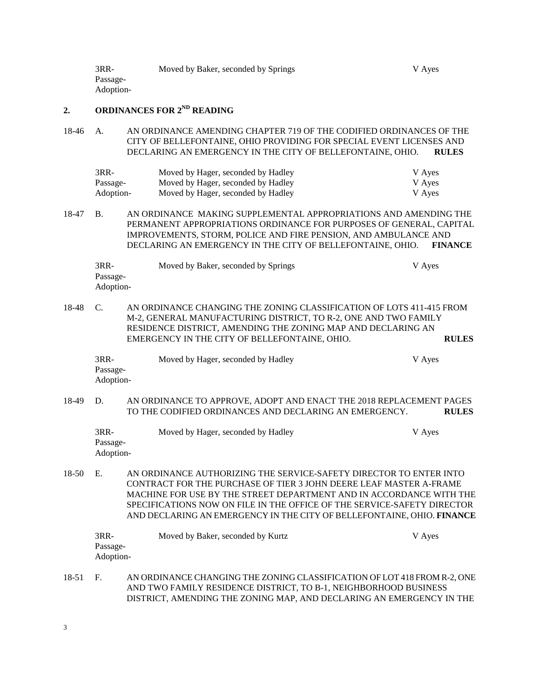| 3RR-      | Moved by Baker, seconded by Springs | V Ayes |
|-----------|-------------------------------------|--------|
| Passage-  |                                     |        |
| Adoption- |                                     |        |

## **2. ORDINANCES FOR 2ND READING**

18-46 A. AN ORDINANCE AMENDING CHAPTER 719 OF THE CODIFIED ORDINANCES OF THE CITY OF BELLEFONTAINE, OHIO PROVIDING FOR SPECIAL EVENT LICENSES AND DECLARING AN EMERGENCY IN THE CITY OF BELLEFONTAINE, OHIO. **RULES**

| $3RR-$    | Moved by Hager, seconded by Hadley | V Ayes |
|-----------|------------------------------------|--------|
| Passage-  | Moved by Hager, seconded by Hadley | V Aves |
| Adoption- | Moved by Hager, seconded by Hadley | V Aves |

18-47 B. AN ORDINANCE MAKING SUPPLEMENTAL APPROPRIATIONS AND AMENDING THE PERMANENT APPROPRIATIONS ORDINANCE FOR PURPOSES OF GENERAL, CAPITAL IMPROVEMENTS, STORM, POLICE AND FIRE PENSION, AND AMBULANCE AND DECLARING AN EMERGENCY IN THE CITY OF BELLEFONTAINE, OHIO. **FINANCE**

| 3RR-      | Moved by Baker, seconded by Springs | V Aves |
|-----------|-------------------------------------|--------|
| Passage-  |                                     |        |
| Adoption- |                                     |        |
|           |                                     |        |

18-48 C. AN ORDINANCE CHANGING THE ZONING CLASSIFICATION OF LOTS 411-415 FROM M-2, GENERAL MANUFACTURING DISTRICT, TO R-2, ONE AND TWO FAMILY RESIDENCE DISTRICT, AMENDING THE ZONING MAP AND DECLARING AN EMERGENCY IN THE CITY OF BELLEFONTAINE, OHIO. **RULES**

| 3RR-      | Moved by Hager, seconded by Hadley | V Ayes |
|-----------|------------------------------------|--------|
| Passage-  |                                    |        |
| Adoption- |                                    |        |

- 18-49 D. AN ORDINANCE TO APPROVE, ADOPT AND ENACT THE 2018 REPLACEMENT PAGES TO THE CODIFIED ORDINANCES AND DECLARING AN EMERGENCY. **RULES**
	- 3RR- Moved by Hager, seconded by Hadley V Ayes Passage-Adoption-
- 18-50 E. AN ORDINANCE AUTHORIZING THE SERVICE-SAFETY DIRECTOR TO ENTER INTO CONTRACT FOR THE PURCHASE OF TIER 3 JOHN DEERE LEAF MASTER A-FRAME MACHINE FOR USE BY THE STREET DEPARTMENT AND IN ACCORDANCE WITH THE SPECIFICATIONS NOW ON FILE IN THE OFFICE OF THE SERVICE-SAFETY DIRECTOR AND DECLARING AN EMERGENCY IN THE CITY OF BELLEFONTAINE, OHIO. **FINANCE**

| 3RR-      | Moved by Baker, seconded by Kurtz | V Ayes |
|-----------|-----------------------------------|--------|
| Passage-  |                                   |        |
| Adoption- |                                   |        |

18-51 F. AN ORDINANCE CHANGING THE ZONING CLASSIFICATION OF LOT 418 FROM R-2, ONE AND TWO FAMILY RESIDENCE DISTRICT, TO B-1, NEIGHBORHOOD BUSINESS DISTRICT, AMENDING THE ZONING MAP, AND DECLARING AN EMERGENCY IN THE